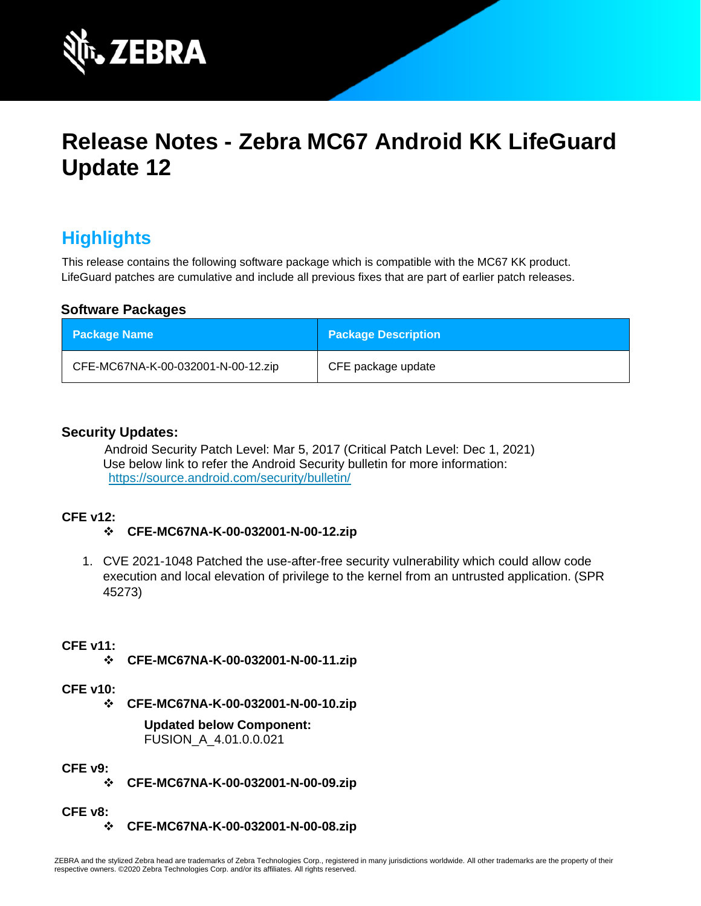

# **Release Notes - Zebra MC67 Android KK LifeGuard Update 12**

# **Highlights**

This release contains the following software package which is compatible with the MC67 KK product. LifeGuard patches are cumulative and include all previous fixes that are part of earlier patch releases.

#### **Software Packages**

| <b>Package Name</b>                | <b>Package Description</b> |
|------------------------------------|----------------------------|
| CFE-MC67NA-K-00-032001-N-00-12.zip | CFE package update         |

#### **Security Updates:**

Android Security Patch Level: Mar 5, 2017 (Critical Patch Level: Dec 1, 2021) Use below link to refer the Android Security bulletin for more information: <https://source.android.com/security/bulletin/>

#### **CFE v12:**

#### ❖ **CFE-MC67NA-K-00-032001-N-00-12.zip**

1. CVE 2021-1048 Patched the use-after-free security vulnerability which could allow code execution and local elevation of privilege to the kernel from an untrusted application. (SPR 45273)

#### **CFE v11:**

❖ **CFE-MC67NA-K-00-032001-N-00-11.zip**

#### **CFE v10:**

❖ **CFE-MC67NA-K-00-032001-N-00-10.zip**

**Updated below Component:** FUSION\_A\_4.01.0.0.021

#### **CFE v9:**

❖ **CFE-MC67NA-K-00-032001-N-00-09.zip**

#### **CFE v8:**

❖ **CFE-MC67NA-K-00-032001-N-00-08.zip**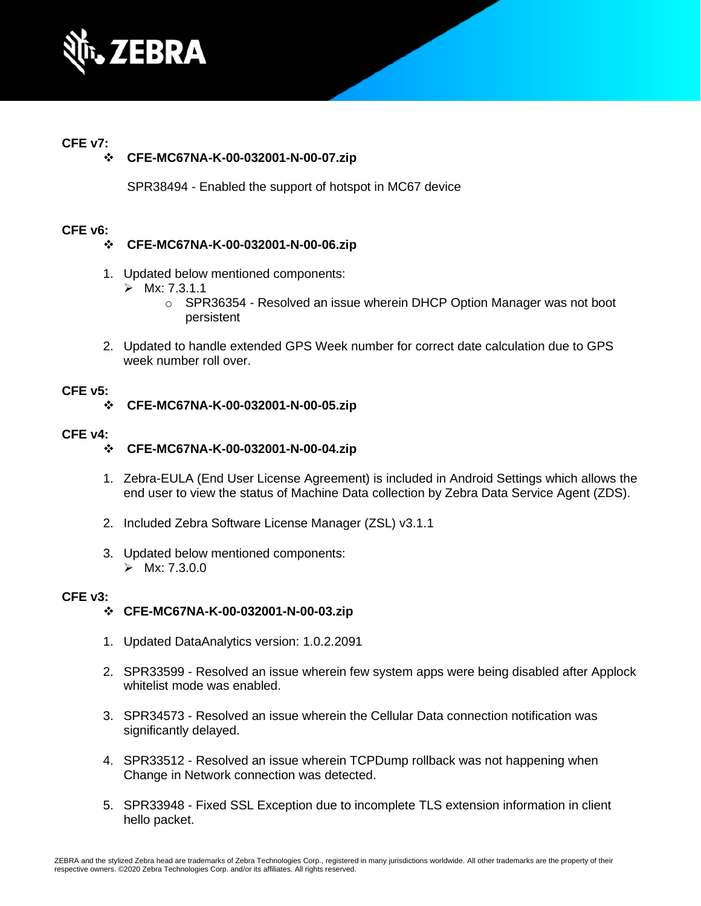

#### **CFE v7:**

#### ❖ **CFE-MC67NA-K-00-032001-N-00-07.zip**

SPR38494 - Enabled the support of hotspot in MC67 device

#### **CFE v6:**

#### ❖ **CFE-MC67NA-K-00-032001-N-00-06.zip**

- 1. Updated below mentioned components:
	- $\triangleright$  Mx: 7.3.1.1
		- $\circ$  SPR36354 Resolved an issue wherein DHCP Option Manager was not boot persistent
- 2. Updated to handle extended GPS Week number for correct date calculation due to GPS week number roll over.

#### **CFE v5:**

#### ❖ **CFE-MC67NA-K-00-032001-N-00-05.zip**

#### **CFE v4:**

#### ❖ **CFE-MC67NA-K-00-032001-N-00-04.zip**

- 1. Zebra-EULA (End User License Agreement) is included in Android Settings which allows the end user to view the status of Machine Data collection by Zebra Data Service Agent (ZDS).
- 2. Included Zebra Software License Manager (ZSL) v3.1.1
- 3. Updated below mentioned components:  $\triangleright$  Mx: 7.3.0.0

#### **CFE v3:**

#### ❖ **CFE-MC67NA-K-00-032001-N-00-03.zip**

- 1. Updated DataAnalytics version: 1.0.2.2091
- 2. SPR33599 Resolved an issue wherein few system apps were being disabled after Applock whitelist mode was enabled.
- 3. SPR34573 Resolved an issue wherein the Cellular Data connection notification was significantly delayed.
- 4. SPR33512 Resolved an issue wherein TCPDump rollback was not happening when Change in Network connection was detected.
- 5. SPR33948 Fixed SSL Exception due to incomplete TLS extension information in client hello packet.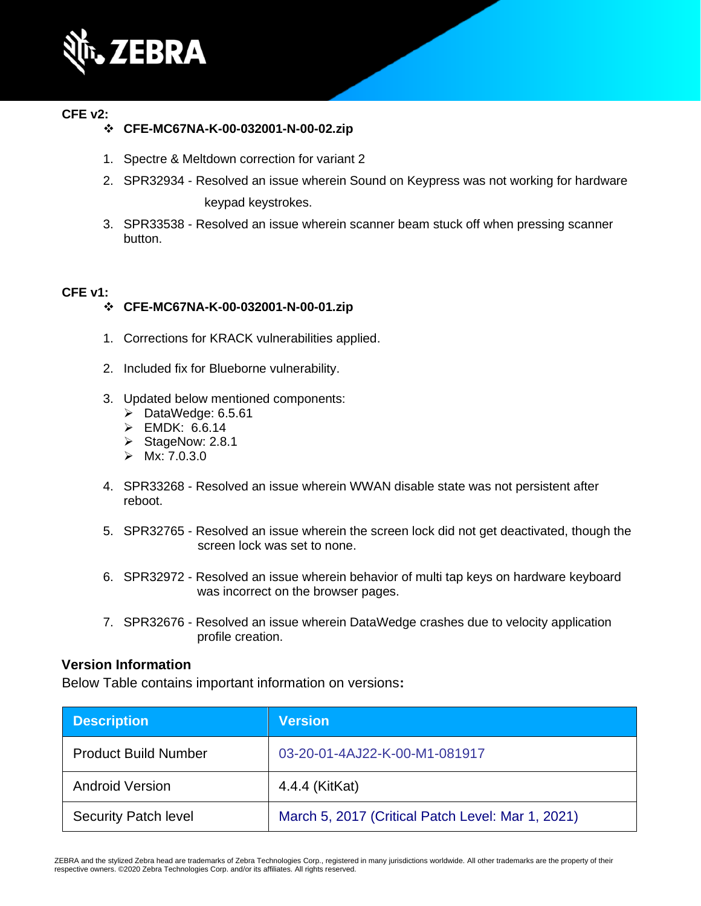

#### **CFE v2:**

#### ❖ **CFE-MC67NA-K-00-032001-N-00-02.zip**

- 1. Spectre & Meltdown correction for variant 2
- 2. SPR32934 Resolved an issue wherein Sound on Keypress was not working for hardware keypad keystrokes.
- 3. SPR33538 Resolved an issue wherein scanner beam stuck off when pressing scanner button.

#### **CFE v1:**

#### ❖ **CFE-MC67NA-K-00-032001-N-00-01.zip**

- 1. Corrections for KRACK vulnerabilities applied.
- 2. Included fix for Blueborne vulnerability.
- 3. Updated below mentioned components:
	- ➢ DataWedge: 6.5.61
	- ➢ EMDK: 6.6.14
	- ➢ StageNow: 2.8.1
	- $\triangleright$  Mx: 7.0.3.0
- 4. SPR33268 Resolved an issue wherein WWAN disable state was not persistent after reboot.
- 5. SPR32765 Resolved an issue wherein the screen lock did not get deactivated, though the screen lock was set to none.
- 6. SPR32972 Resolved an issue wherein behavior of multi tap keys on hardware keyboard was incorrect on the browser pages.
- 7. SPR32676 Resolved an issue wherein DataWedge crashes due to velocity application profile creation.

#### **Version Information**

Below Table contains important information on versions**:**

| <b>Description</b>          | <b>Version</b>                                    |
|-----------------------------|---------------------------------------------------|
| <b>Product Build Number</b> | 03-20-01-4AJ22-K-00-M1-081917                     |
| <b>Android Version</b>      | 4.4.4 (KitKat)                                    |
| <b>Security Patch level</b> | March 5, 2017 (Critical Patch Level: Mar 1, 2021) |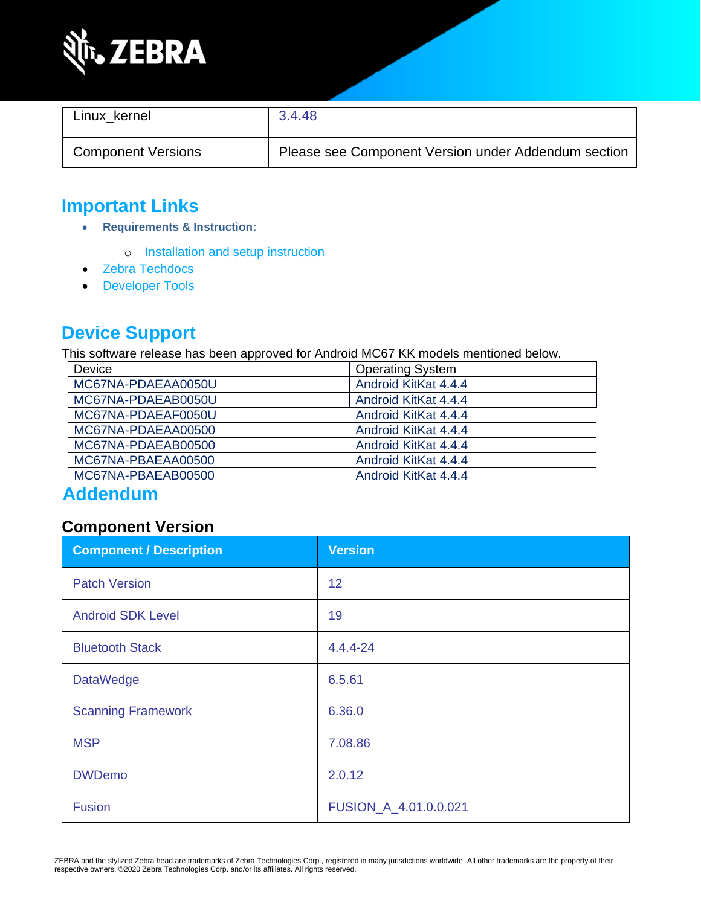

| Linux kernel              | 3.4.48                                              |
|---------------------------|-----------------------------------------------------|
| <b>Component Versions</b> | Please see Component Version under Addendum section |

# **Important Links**

- **Requirements & Instruction:**
	- o [Installation and setup instruction](https://www.zebra.com/content/dam/zebra_new_ia/en-us/software/operating-system/MC67NA%20Operating%20System/MC67-KK-os-update-instructions.pdf)
- [Zebra Techdocs](https://techdocs.zebra.com/)
- [Developer Tools](https://developer.zebra.com/)

# **Device Support**

This software release has been approved for Android MC67 KK models mentioned below.

| Device             | <b>Operating System</b> |  |
|--------------------|-------------------------|--|
| MC67NA-PDAEAA0050U | Android KitKat 4.4.4    |  |
| MC67NA-PDAEAB0050U | Android KitKat 4.4.4    |  |
| MC67NA-PDAEAF0050U | Android KitKat 4.4.4    |  |
| MC67NA-PDAEAA00500 | Android KitKat 4.4.4    |  |
| MC67NA-PDAEAB00500 | Android KitKat 4.4.4    |  |
| MC67NA-PBAEAA00500 | Android KitKat 4.4.4    |  |
| MC67NA-PBAEAB00500 | Android KitKat 4.4.4    |  |

# **Addendum**

#### **Component Version**

| <b>Component / Description</b> | <b>Version</b>        |
|--------------------------------|-----------------------|
| <b>Patch Version</b>           | 12                    |
| <b>Android SDK Level</b>       | 19                    |
| <b>Bluetooth Stack</b>         | 4.4.4-24              |
| <b>DataWedge</b>               | 6.5.61                |
| <b>Scanning Framework</b>      | 6.36.0                |
| <b>MSP</b>                     | 7.08.86               |
| <b>DWDemo</b>                  | 2.0.12                |
| Fusion                         | FUSION_A_4.01.0.0.021 |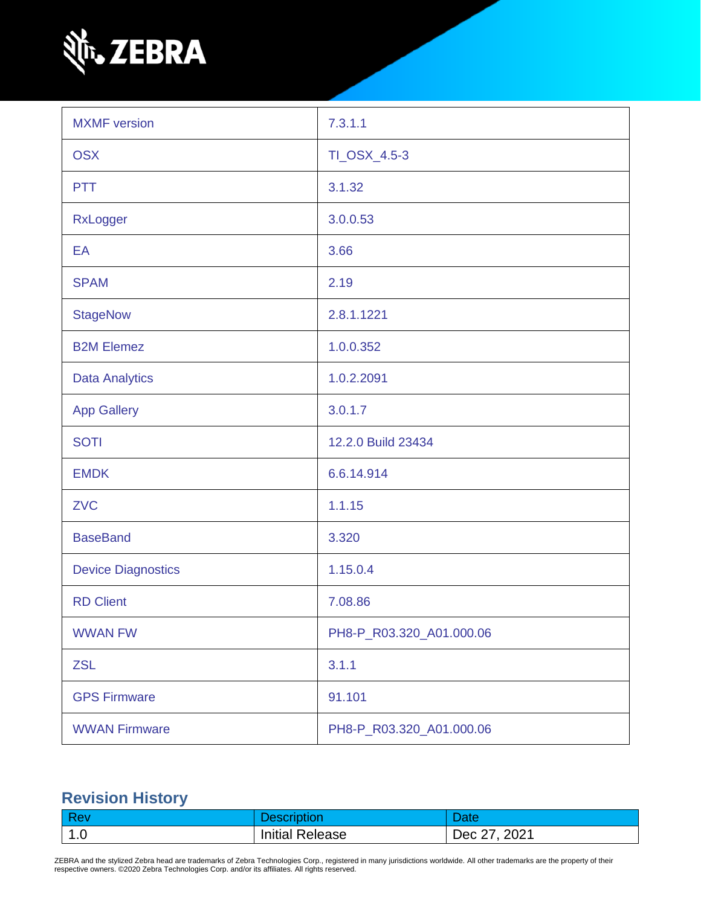

| <b>MXMF</b> version       | 7.3.1.1                  |  |
|---------------------------|--------------------------|--|
| <b>OSX</b>                | TI_OSX_4.5-3             |  |
| <b>PTT</b>                | 3.1.32                   |  |
| RxLogger                  | 3.0.0.53                 |  |
| EA                        | 3.66                     |  |
| <b>SPAM</b>               | 2.19                     |  |
| <b>StageNow</b>           | 2.8.1.1221               |  |
| <b>B2M Elemez</b>         | 1.0.0.352                |  |
| <b>Data Analytics</b>     | 1.0.2.2091               |  |
| <b>App Gallery</b>        | 3.0.1.7                  |  |
| <b>SOTI</b>               | 12.2.0 Build 23434       |  |
| <b>EMDK</b>               | 6.6.14.914               |  |
| <b>ZVC</b>                | 1.1.15                   |  |
| <b>BaseBand</b>           | 3.320                    |  |
| <b>Device Diagnostics</b> | 1.15.0.4                 |  |
| <b>RD Client</b>          | 7.08.86                  |  |
| <b>WWAN FW</b>            | PH8-P_R03.320_A01.000.06 |  |
| <b>ZSL</b>                | 3.1.1                    |  |
| <b>GPS Firmware</b>       | 91.101                   |  |
| <b>WWAN Firmware</b>      | PH8-P_R03.320_A01.000.06 |  |

# **Revision History**

|             |                        | <b>Pate</b>                     |
|-------------|------------------------|---------------------------------|
| $\vert$ 1.0 | <b>Initial Release</b> | 2021<br>$\cdot$ Dec $\lambda$ . |

ZEBRA and the stylized Zebra head are trademarks of Zebra Technologies Corp., registered in many jurisdictions worldwide. All other trademarks are the property of their<br>respective owners. ©2020 Zebra Technologies Corp. and